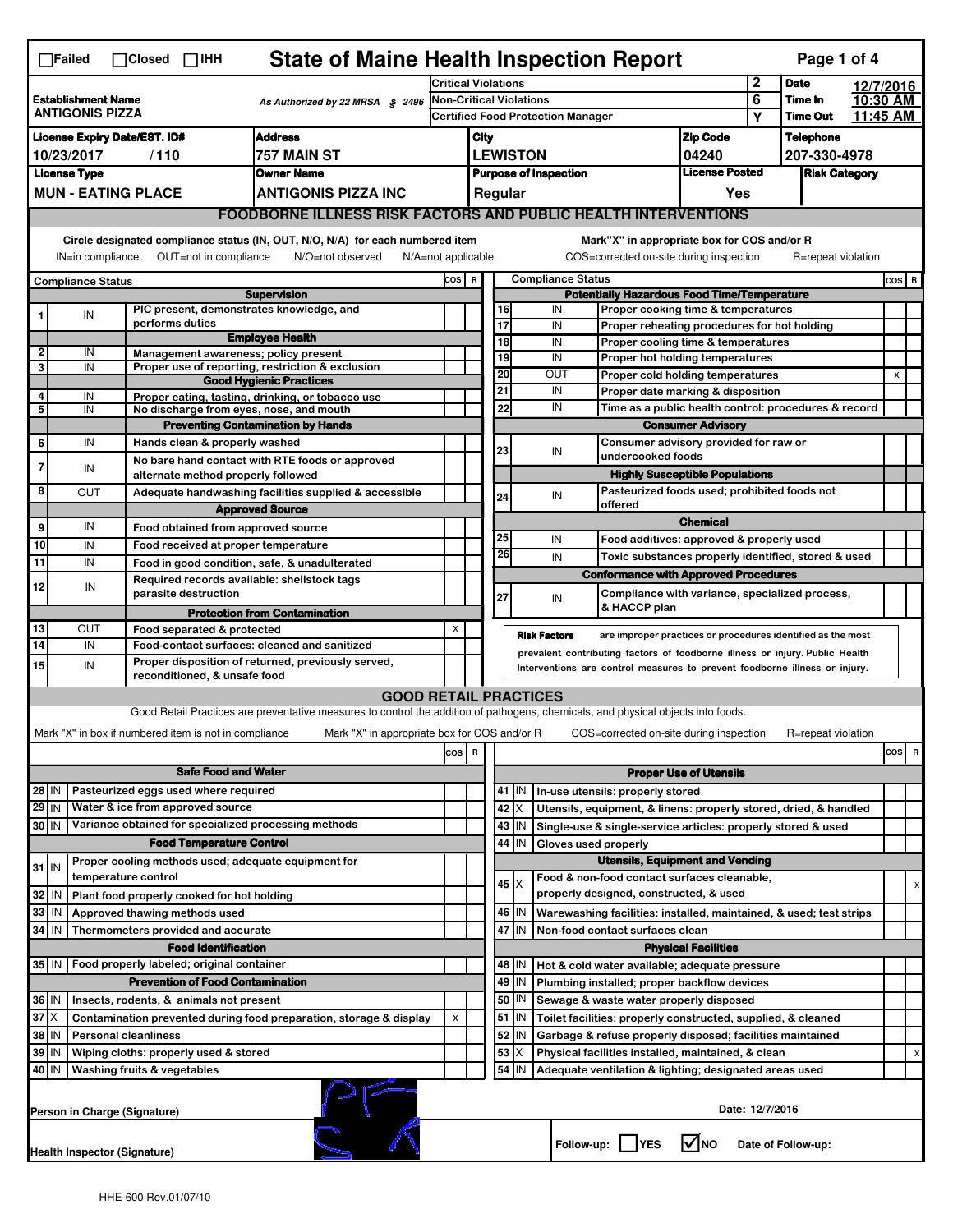|                                                                                        | <b>State of Maine Health Inspection Report</b><br>Page 1 of 4<br>$\Box$ Failed<br>$\Box$ Closed $\Box$ IHH                                                                                                                                                                                |                                                       |                                                                                                  |                                                                                                                                                                   |                                                                                                                                                            |                                                                                          |                                                          |                 |                               |                                                                                               |                                       |                                                      |                    |           |       |   |
|----------------------------------------------------------------------------------------|-------------------------------------------------------------------------------------------------------------------------------------------------------------------------------------------------------------------------------------------------------------------------------------------|-------------------------------------------------------|--------------------------------------------------------------------------------------------------|-------------------------------------------------------------------------------------------------------------------------------------------------------------------|------------------------------------------------------------------------------------------------------------------------------------------------------------|------------------------------------------------------------------------------------------|----------------------------------------------------------|-----------------|-------------------------------|-----------------------------------------------------------------------------------------------|---------------------------------------|------------------------------------------------------|--------------------|-----------|-------|---|
|                                                                                        |                                                                                                                                                                                                                                                                                           |                                                       |                                                                                                  |                                                                                                                                                                   | <b>Critical Violations</b>                                                                                                                                 |                                                                                          |                                                          |                 |                               |                                                                                               |                                       | $\mathbf 2$                                          | <b>Date</b>        | 12/7/2016 |       |   |
| <b>Establishment Name</b><br>As Authorized by 22 MRSA § 2496<br><b>ANTIGONIS PIZZA</b> |                                                                                                                                                                                                                                                                                           |                                                       |                                                                                                  | Non-Critical Violations<br><b>Certified Food Protection Manager</b>                                                                                               |                                                                                                                                                            |                                                                                          |                                                          |                 |                               | 6                                                                                             | Time In<br><b>Time Out</b>            | 10:30 AM<br>11:45 AM                                 |                    |           |       |   |
|                                                                                        |                                                                                                                                                                                                                                                                                           |                                                       |                                                                                                  |                                                                                                                                                                   |                                                                                                                                                            |                                                                                          |                                                          |                 |                               |                                                                                               |                                       | Υ                                                    |                    |           |       |   |
| <b>Address</b><br><b>License Expiry Date/EST. ID#</b>                                  |                                                                                                                                                                                                                                                                                           |                                                       |                                                                                                  |                                                                                                                                                                   |                                                                                                                                                            | City                                                                                     |                                                          |                 |                               |                                                                                               | <b>Zip Code</b>                       |                                                      | <b>Telephone</b>   |           |       |   |
| 757 MAIN ST<br>10/23/2017<br>/110                                                      |                                                                                                                                                                                                                                                                                           |                                                       |                                                                                                  |                                                                                                                                                                   |                                                                                                                                                            | <b>LEWISTON</b><br>04240<br>207-330-4978                                                 |                                                          |                 |                               |                                                                                               |                                       |                                                      |                    |           |       |   |
| <b>License Type</b><br><b>Owner Name</b>                                               |                                                                                                                                                                                                                                                                                           |                                                       |                                                                                                  |                                                                                                                                                                   |                                                                                                                                                            | <b>License Posted</b><br><b>Purpose of Inspection</b><br><b>Risk Category</b><br>Regular |                                                          |                 |                               |                                                                                               |                                       |                                                      |                    |           |       |   |
|                                                                                        | <b>MUN - EATING PLACE</b><br><b>ANTIGONIS PIZZA INC</b>                                                                                                                                                                                                                                   |                                                       |                                                                                                  |                                                                                                                                                                   |                                                                                                                                                            |                                                                                          |                                                          |                 |                               |                                                                                               | Yes                                   |                                                      |                    |           |       |   |
|                                                                                        | <b>FOODBORNE ILLNESS RISK FACTORS AND PUBLIC HEALTH INTERVENTIONS</b>                                                                                                                                                                                                                     |                                                       |                                                                                                  |                                                                                                                                                                   |                                                                                                                                                            |                                                                                          |                                                          |                 |                               |                                                                                               |                                       |                                                      |                    |           |       |   |
|                                                                                        | Circle designated compliance status (IN, OUT, N/O, N/A) for each numbered item<br>Mark"X" in appropriate box for COS and/or R<br>OUT=not in compliance<br>N/O=not observed<br>COS=corrected on-site during inspection<br>IN=in compliance<br>$N/A = not$ applicable<br>R=repeat violation |                                                       |                                                                                                  |                                                                                                                                                                   |                                                                                                                                                            |                                                                                          |                                                          |                 |                               |                                                                                               |                                       |                                                      |                    |           |       |   |
| <b>Compliance Status</b>                                                               |                                                                                                                                                                                                                                                                                           |                                                       |                                                                                                  |                                                                                                                                                                   | cos                                                                                                                                                        | $\mathbf R$                                                                              |                                                          |                 | <b>Compliance Status</b>      |                                                                                               |                                       |                                                      |                    |           | COS R |   |
| <b>Supervision</b>                                                                     |                                                                                                                                                                                                                                                                                           |                                                       |                                                                                                  | <b>Potentially Hazardous Food Time/Temperature</b>                                                                                                                |                                                                                                                                                            |                                                                                          |                                                          |                 |                               |                                                                                               |                                       |                                                      |                    |           |       |   |
|                                                                                        | IN                                                                                                                                                                                                                                                                                        | performs duties                                       | PIC present, demonstrates knowledge, and<br>16<br>IN<br>Proper cooking time & temperatures<br>17 |                                                                                                                                                                   |                                                                                                                                                            |                                                                                          |                                                          |                 |                               |                                                                                               |                                       |                                                      |                    |           |       |   |
|                                                                                        |                                                                                                                                                                                                                                                                                           |                                                       |                                                                                                  | <b>Employee Health</b>                                                                                                                                            |                                                                                                                                                            |                                                                                          | $\overline{18}$                                          |                 | IN<br>IN                      | Proper reheating procedures for hot holding<br>Proper cooling time & temperatures             |                                       |                                                      |                    |           |       |   |
| $\overline{\mathbf{2}}$                                                                | IN                                                                                                                                                                                                                                                                                        |                                                       |                                                                                                  | Management awareness: policy present                                                                                                                              |                                                                                                                                                            |                                                                                          | 19                                                       |                 | IN                            | Proper hot holding temperatures                                                               |                                       |                                                      |                    |           |       |   |
| 3                                                                                      | IN                                                                                                                                                                                                                                                                                        |                                                       |                                                                                                  | Proper use of reporting, restriction & exclusion                                                                                                                  |                                                                                                                                                            |                                                                                          | 20                                                       |                 | OUT                           | Proper cold holding temperatures                                                              |                                       |                                                      |                    |           | X     |   |
| 4                                                                                      | IN                                                                                                                                                                                                                                                                                        |                                                       |                                                                                                  | <b>Good Hygienic Practices</b>                                                                                                                                    |                                                                                                                                                            |                                                                                          | 21                                                       |                 | IN                            | Proper date marking & disposition                                                             |                                       |                                                      |                    |           |       |   |
| 5                                                                                      | IN                                                                                                                                                                                                                                                                                        |                                                       |                                                                                                  | Proper eating, tasting, drinking, or tobacco use<br>No discharge from eyes, nose, and mouth                                                                       |                                                                                                                                                            |                                                                                          | 22                                                       |                 | IN                            |                                                                                               |                                       | Time as a public health control: procedures & record |                    |           |       |   |
|                                                                                        |                                                                                                                                                                                                                                                                                           |                                                       |                                                                                                  | <b>Preventing Contamination by Hands</b>                                                                                                                          |                                                                                                                                                            |                                                                                          |                                                          |                 |                               |                                                                                               | <b>Consumer Advisory</b>              |                                                      |                    |           |       |   |
| 6                                                                                      | IN                                                                                                                                                                                                                                                                                        | Hands clean & properly washed                         |                                                                                                  |                                                                                                                                                                   |                                                                                                                                                            |                                                                                          |                                                          |                 |                               |                                                                                               |                                       |                                                      |                    |           |       |   |
| $\overline{7}$                                                                         |                                                                                                                                                                                                                                                                                           |                                                       |                                                                                                  | No bare hand contact with RTE foods or approved                                                                                                                   |                                                                                                                                                            |                                                                                          | 23                                                       |                 | IN                            | undercooked foods                                                                             |                                       |                                                      |                    |           |       |   |
|                                                                                        | IN                                                                                                                                                                                                                                                                                        | alternate method properly followed                    |                                                                                                  |                                                                                                                                                                   |                                                                                                                                                            |                                                                                          |                                                          |                 |                               |                                                                                               | <b>Highly Susceptible Populations</b> |                                                      |                    |           |       |   |
| 8                                                                                      | OUT                                                                                                                                                                                                                                                                                       |                                                       |                                                                                                  | Adequate handwashing facilities supplied & accessible                                                                                                             |                                                                                                                                                            |                                                                                          | 24                                                       |                 | IN                            | Pasteurized foods used; prohibited foods not                                                  |                                       |                                                      |                    |           |       |   |
|                                                                                        |                                                                                                                                                                                                                                                                                           |                                                       |                                                                                                  | <b>Approved Source</b>                                                                                                                                            |                                                                                                                                                            |                                                                                          |                                                          |                 |                               | offered                                                                                       | <b>Chemical</b>                       |                                                      |                    |           |       |   |
| 9                                                                                      | IN                                                                                                                                                                                                                                                                                        | Food obtained from approved source                    |                                                                                                  |                                                                                                                                                                   |                                                                                                                                                            |                                                                                          | 25                                                       |                 | IN                            |                                                                                               |                                       |                                                      |                    |           |       |   |
| 10                                                                                     | IN                                                                                                                                                                                                                                                                                        | Food received at proper temperature                   |                                                                                                  |                                                                                                                                                                   |                                                                                                                                                            |                                                                                          | 26                                                       |                 |                               | Food additives: approved & properly used                                                      |                                       |                                                      |                    |           |       |   |
| $\overline{11}$                                                                        | IN                                                                                                                                                                                                                                                                                        |                                                       |                                                                                                  | Food in good condition, safe, & unadulterated                                                                                                                     |                                                                                                                                                            |                                                                                          |                                                          |                 | IN                            | Toxic substances properly identified, stored & used                                           |                                       |                                                      |                    |           |       |   |
| 12                                                                                     | IN                                                                                                                                                                                                                                                                                        | parasite destruction                                  |                                                                                                  | Required records available: shellstock tags                                                                                                                       |                                                                                                                                                            |                                                                                          | 27                                                       |                 | IN                            | <b>Conformance with Approved Procedures</b><br>Compliance with variance, specialized process, |                                       |                                                      |                    |           |       |   |
|                                                                                        |                                                                                                                                                                                                                                                                                           |                                                       |                                                                                                  | <b>Protection from Contamination</b>                                                                                                                              |                                                                                                                                                            |                                                                                          |                                                          |                 |                               | & HACCP plan                                                                                  |                                       |                                                      |                    |           |       |   |
| 13                                                                                     | Ουτ                                                                                                                                                                                                                                                                                       | Food separated & protected                            |                                                                                                  |                                                                                                                                                                   | $\mathsf{x}$                                                                                                                                               |                                                                                          |                                                          |                 | <b>Risk Factors</b>           | are improper practices or procedures identified as the most                                   |                                       |                                                      |                    |           |       |   |
| 14                                                                                     | IN                                                                                                                                                                                                                                                                                        |                                                       |                                                                                                  | Food-contact surfaces: cleaned and sanitized                                                                                                                      |                                                                                                                                                            |                                                                                          |                                                          |                 |                               |                                                                                               |                                       |                                                      |                    |           |       |   |
| 15                                                                                     | IN                                                                                                                                                                                                                                                                                        | reconditioned, & unsafe food                          |                                                                                                  | Proper disposition of returned, previously served,                                                                                                                | prevalent contributing factors of foodborne illness or injury. Public Health<br>Interventions are control measures to prevent foodborne illness or injury. |                                                                                          |                                                          |                 |                               |                                                                                               |                                       |                                                      |                    |           |       |   |
|                                                                                        |                                                                                                                                                                                                                                                                                           |                                                       |                                                                                                  |                                                                                                                                                                   |                                                                                                                                                            |                                                                                          |                                                          |                 |                               |                                                                                               |                                       |                                                      |                    |           |       |   |
|                                                                                        |                                                                                                                                                                                                                                                                                           |                                                       |                                                                                                  | <b>GOOD RETAIL PRACTICES</b><br>Good Retail Practices are preventative measures to control the addition of pathogens, chemicals, and physical objects into foods. |                                                                                                                                                            |                                                                                          |                                                          |                 |                               |                                                                                               |                                       |                                                      |                    |           |       |   |
|                                                                                        |                                                                                                                                                                                                                                                                                           |                                                       |                                                                                                  |                                                                                                                                                                   |                                                                                                                                                            |                                                                                          |                                                          |                 |                               |                                                                                               |                                       |                                                      |                    |           |       |   |
|                                                                                        |                                                                                                                                                                                                                                                                                           | Mark "X" in box if numbered item is not in compliance |                                                                                                  | Mark "X" in appropriate box for COS and/or R                                                                                                                      |                                                                                                                                                            |                                                                                          |                                                          |                 |                               | COS=corrected on-site during inspection                                                       |                                       |                                                      | R=repeat violation |           |       |   |
| cos R<br>cos                                                                           |                                                                                                                                                                                                                                                                                           |                                                       |                                                                                                  |                                                                                                                                                                   |                                                                                                                                                            |                                                                                          |                                                          | R               |                               |                                                                                               |                                       |                                                      |                    |           |       |   |
| <b>Safe Food and Water</b>                                                             |                                                                                                                                                                                                                                                                                           |                                                       |                                                                                                  |                                                                                                                                                                   |                                                                                                                                                            |                                                                                          |                                                          |                 | <b>Proper Use of Utensils</b> |                                                                                               |                                       |                                                      |                    |           |       |   |
| $28$ IN                                                                                |                                                                                                                                                                                                                                                                                           | Pasteurized eggs used where required                  |                                                                                                  |                                                                                                                                                                   |                                                                                                                                                            |                                                                                          | 41                                                       | ΙIΝ             |                               | In-use utensils: properly stored                                                              |                                       |                                                      |                    |           |       |   |
| $29$ IN                                                                                |                                                                                                                                                                                                                                                                                           | Water & ice from approved source                      |                                                                                                  |                                                                                                                                                                   |                                                                                                                                                            |                                                                                          |                                                          | 42 X            |                               | Utensils, equipment, & linens: properly stored, dried, & handled                              |                                       |                                                      |                    |           |       |   |
| 30 IN                                                                                  |                                                                                                                                                                                                                                                                                           | Variance obtained for specialized processing methods  |                                                                                                  |                                                                                                                                                                   |                                                                                                                                                            |                                                                                          |                                                          | $43$ IN         |                               | Single-use & single-service articles: properly stored & used                                  |                                       |                                                      |                    |           |       |   |
|                                                                                        |                                                                                                                                                                                                                                                                                           | <b>Food Temperature Control</b>                       |                                                                                                  |                                                                                                                                                                   |                                                                                                                                                            |                                                                                          | 44                                                       | IN              | Gloves used properly          |                                                                                               |                                       |                                                      |                    |           |       |   |
| $31$ IN                                                                                |                                                                                                                                                                                                                                                                                           | Proper cooling methods used; adequate equipment for   |                                                                                                  |                                                                                                                                                                   |                                                                                                                                                            |                                                                                          |                                                          |                 |                               | <b>Utensils, Equipment and Vending</b>                                                        |                                       |                                                      |                    |           |       |   |
|                                                                                        |                                                                                                                                                                                                                                                                                           | temperature control                                   |                                                                                                  |                                                                                                                                                                   |                                                                                                                                                            |                                                                                          |                                                          | 45   X          |                               | Food & non-food contact surfaces cleanable,                                                   |                                       |                                                      |                    |           |       | х |
| 32                                                                                     | IN                                                                                                                                                                                                                                                                                        | Plant food properly cooked for hot holding            |                                                                                                  |                                                                                                                                                                   |                                                                                                                                                            |                                                                                          |                                                          |                 |                               | properly designed, constructed, & used                                                        |                                       |                                                      |                    |           |       |   |
| 33                                                                                     | IN                                                                                                                                                                                                                                                                                        | Approved thawing methods used                         |                                                                                                  |                                                                                                                                                                   |                                                                                                                                                            |                                                                                          |                                                          | 46 IN           |                               | Warewashing facilities: installed, maintained, & used; test strips                            |                                       |                                                      |                    |           |       |   |
| 34                                                                                     | l IN                                                                                                                                                                                                                                                                                      | Thermometers provided and accurate                    |                                                                                                  |                                                                                                                                                                   |                                                                                                                                                            |                                                                                          |                                                          | 47 IN           |                               | Non-food contact surfaces clean                                                               |                                       |                                                      |                    |           |       |   |
|                                                                                        |                                                                                                                                                                                                                                                                                           |                                                       | <b>Food Identification</b>                                                                       |                                                                                                                                                                   |                                                                                                                                                            |                                                                                          |                                                          |                 |                               |                                                                                               | <b>Physical Facilities</b>            |                                                      |                    |           |       |   |
| 35 IN                                                                                  |                                                                                                                                                                                                                                                                                           | Food properly labeled; original container             |                                                                                                  |                                                                                                                                                                   |                                                                                                                                                            |                                                                                          | 48   IN<br>Hot & cold water available; adequate pressure |                 |                               |                                                                                               |                                       |                                                      |                    |           |       |   |
| <b>Prevention of Food Contamination</b>                                                |                                                                                                                                                                                                                                                                                           |                                                       |                                                                                                  |                                                                                                                                                                   |                                                                                                                                                            |                                                                                          | 49                                                       | IN              |                               | Plumbing installed; proper backflow devices                                                   |                                       |                                                      |                    |           |       |   |
|                                                                                        | 36 IN<br>Insects, rodents, & animals not present                                                                                                                                                                                                                                          |                                                       |                                                                                                  |                                                                                                                                                                   |                                                                                                                                                            |                                                                                          | 50                                                       | IN              |                               | Sewage & waste water properly disposed                                                        |                                       |                                                      |                    |           |       |   |
| $37$ $\times$<br>Contamination prevented during food preparation, storage & display    |                                                                                                                                                                                                                                                                                           |                                                       |                                                                                                  |                                                                                                                                                                   | X                                                                                                                                                          |                                                                                          |                                                          | $51$ $\vert$ IN |                               | Toilet facilities: properly constructed, supplied, & cleaned                                  |                                       |                                                      |                    |           |       |   |
| 38<br>IN<br><b>Personal cleanliness</b>                                                |                                                                                                                                                                                                                                                                                           |                                                       |                                                                                                  |                                                                                                                                                                   |                                                                                                                                                            |                                                                                          | 52                                                       | IN              |                               | Garbage & refuse properly disposed; facilities maintained                                     |                                       |                                                      |                    |           |       |   |
| 39<br>ΙM<br>Wiping cloths: properly used & stored                                      |                                                                                                                                                                                                                                                                                           |                                                       |                                                                                                  |                                                                                                                                                                   |                                                                                                                                                            |                                                                                          | 53                                                       | X               |                               | Physical facilities installed, maintained, & clean                                            |                                       |                                                      |                    |           |       |   |
|                                                                                        | 40 IN<br>54<br>Washing fruits & vegetables<br>IN<br>Adequate ventilation & lighting; designated areas used                                                                                                                                                                                |                                                       |                                                                                                  |                                                                                                                                                                   |                                                                                                                                                            |                                                                                          |                                                          |                 |                               |                                                                                               |                                       |                                                      |                    |           |       |   |
|                                                                                        | Date: 12/7/2016<br>Person in Charge (Signature)                                                                                                                                                                                                                                           |                                                       |                                                                                                  |                                                                                                                                                                   |                                                                                                                                                            |                                                                                          |                                                          |                 |                               |                                                                                               |                                       |                                                      |                    |           |       |   |
|                                                                                        | Follow-up: YES<br>l√lno<br>Date of Follow-up:<br>Health Inspector (Signature)                                                                                                                                                                                                             |                                                       |                                                                                                  |                                                                                                                                                                   |                                                                                                                                                            |                                                                                          |                                                          |                 |                               |                                                                                               |                                       |                                                      |                    |           |       |   |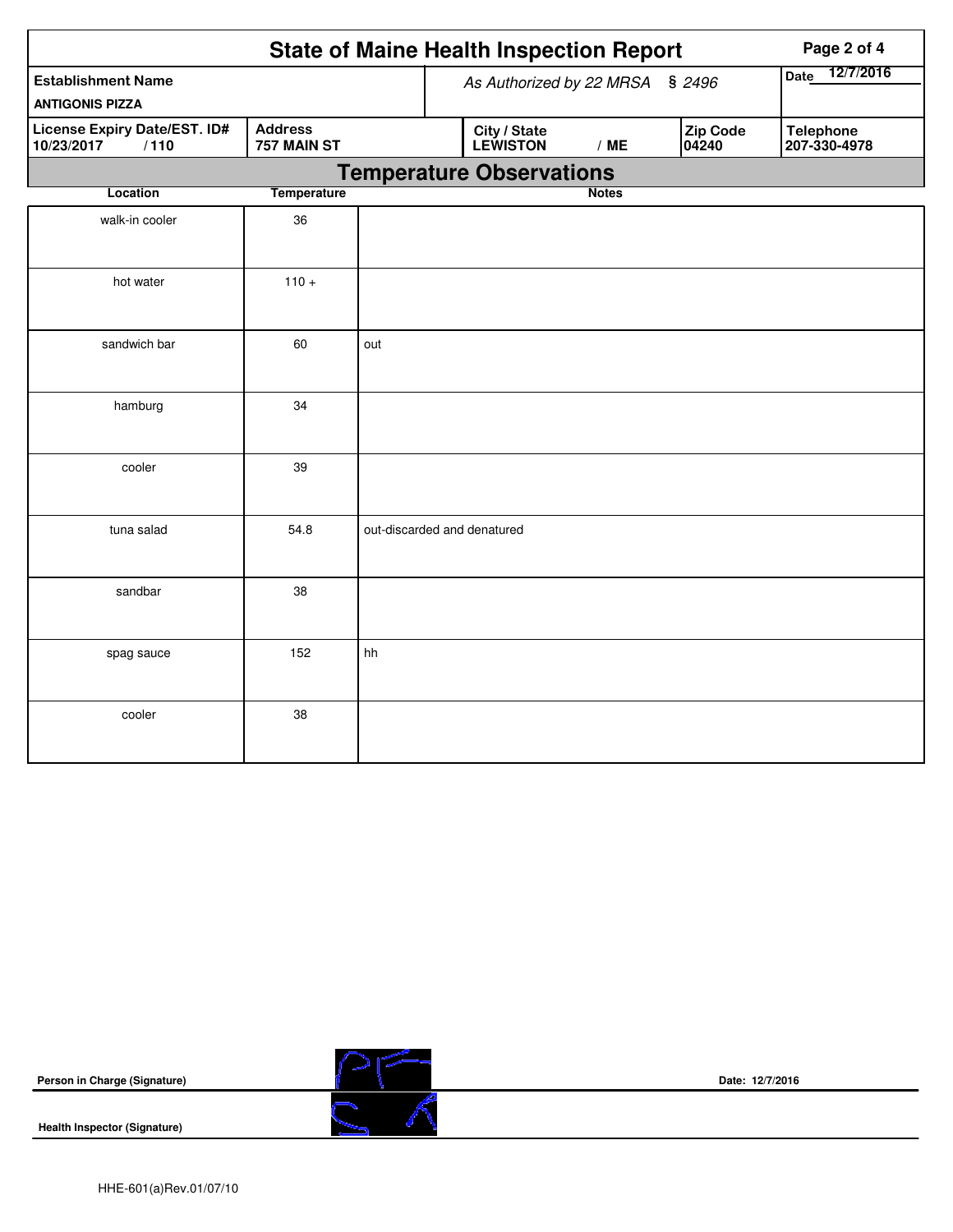|                                                                                            |                                 |                          | <b>State of Maine Health Inspection Report</b> | Page 2 of 4  |                   |                                  |
|--------------------------------------------------------------------------------------------|---------------------------------|--------------------------|------------------------------------------------|--------------|-------------------|----------------------------------|
| <b>Establishment Name</b>                                                                  | As Authorized by 22 MRSA § 2496 | 12/7/2016<br><b>Date</b> |                                                |              |                   |                                  |
| <b>ANTIGONIS PIZZA</b>                                                                     |                                 |                          |                                                |              |                   |                                  |
| <b>Address</b><br><b>License Expiry Date/EST. ID#</b><br>10/23/2017<br>757 MAIN ST<br>/110 |                                 |                          | City / State<br><b>LEWISTON</b>                | /ME          | Zip Code<br>04240 | <b>Telephone</b><br>207-330-4978 |
|                                                                                            |                                 |                          | <b>Temperature Observations</b>                |              |                   |                                  |
| Location                                                                                   | <b>Temperature</b>              |                          |                                                | <b>Notes</b> |                   |                                  |
| walk-in cooler                                                                             | 36                              |                          |                                                |              |                   |                                  |
| hot water                                                                                  | $110 +$                         |                          |                                                |              |                   |                                  |
| sandwich bar                                                                               | 60                              | out                      |                                                |              |                   |                                  |
| hamburg                                                                                    | 34                              |                          |                                                |              |                   |                                  |
| cooler                                                                                     | 39                              |                          |                                                |              |                   |                                  |
| tuna salad                                                                                 | 54.8                            |                          | out-discarded and denatured                    |              |                   |                                  |
| sandbar                                                                                    | 38                              |                          |                                                |              |                   |                                  |
| spag sauce                                                                                 | 152                             | hh                       |                                                |              |                   |                                  |
| cooler                                                                                     | 38                              |                          |                                                |              |                   |                                  |

**Person in Charge (Signature)**



**Date: 12/7/2016**

**Health Inspector (Signature)**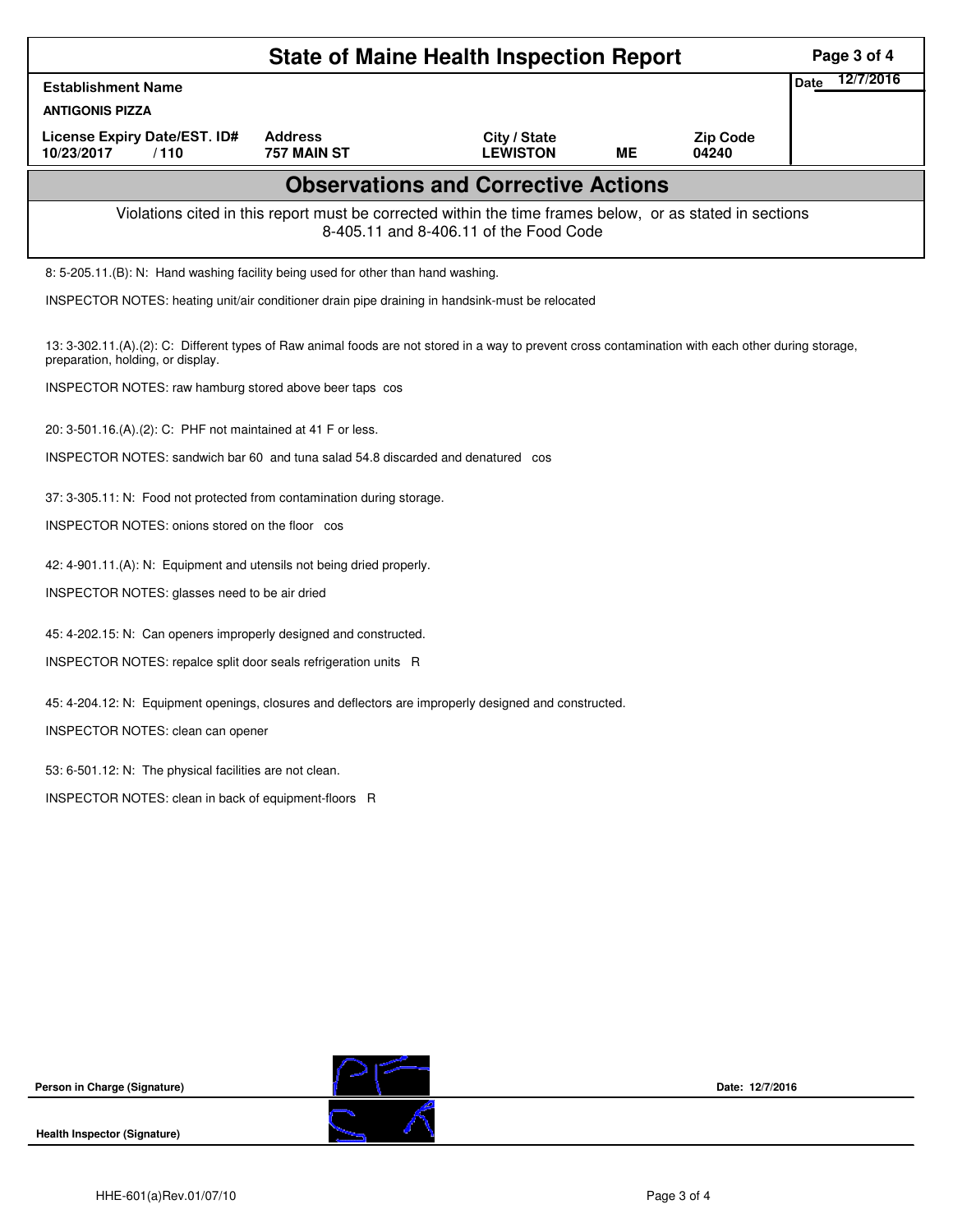|                                                                                                                                                                                          | Page 3 of 4                                                                                           |                                                                                                                                                    |    |                          |                          |  |  |  |  |
|------------------------------------------------------------------------------------------------------------------------------------------------------------------------------------------|-------------------------------------------------------------------------------------------------------|----------------------------------------------------------------------------------------------------------------------------------------------------|----|--------------------------|--------------------------|--|--|--|--|
| <b>Establishment Name</b>                                                                                                                                                                |                                                                                                       |                                                                                                                                                    |    |                          | 12/7/2016<br><b>Date</b> |  |  |  |  |
| <b>ANTIGONIS PIZZA</b>                                                                                                                                                                   |                                                                                                       |                                                                                                                                                    |    |                          |                          |  |  |  |  |
| License Expiry Date/EST. ID#<br>10/23/2017<br>/110                                                                                                                                       | <b>Address</b><br>757 MAIN ST                                                                         | City / State<br><b>LEWISTON</b>                                                                                                                    | ME | <b>Zip Code</b><br>04240 |                          |  |  |  |  |
| <b>Observations and Corrective Actions</b>                                                                                                                                               |                                                                                                       |                                                                                                                                                    |    |                          |                          |  |  |  |  |
|                                                                                                                                                                                          |                                                                                                       | Violations cited in this report must be corrected within the time frames below, or as stated in sections<br>8-405.11 and 8-406.11 of the Food Code |    |                          |                          |  |  |  |  |
| 8: 5-205.11.(B): N: Hand washing facility being used for other than hand washing.                                                                                                        |                                                                                                       |                                                                                                                                                    |    |                          |                          |  |  |  |  |
|                                                                                                                                                                                          | INSPECTOR NOTES: heating unit/air conditioner drain pipe draining in handsink-must be relocated       |                                                                                                                                                    |    |                          |                          |  |  |  |  |
| 13: 3-302.11.(A).(2): C: Different types of Raw animal foods are not stored in a way to prevent cross contamination with each other during storage,<br>preparation, holding, or display. |                                                                                                       |                                                                                                                                                    |    |                          |                          |  |  |  |  |
| INSPECTOR NOTES: raw hamburg stored above beer taps cos                                                                                                                                  |                                                                                                       |                                                                                                                                                    |    |                          |                          |  |  |  |  |
| 20: 3-501.16.(A).(2): C: PHF not maintained at 41 F or less.                                                                                                                             |                                                                                                       |                                                                                                                                                    |    |                          |                          |  |  |  |  |
| INSPECTOR NOTES: sandwich bar 60 and tuna salad 54.8 discarded and denatured cos                                                                                                         |                                                                                                       |                                                                                                                                                    |    |                          |                          |  |  |  |  |
| 37: 3-305.11: N: Food not protected from contamination during storage.                                                                                                                   |                                                                                                       |                                                                                                                                                    |    |                          |                          |  |  |  |  |
| INSPECTOR NOTES: onions stored on the floor cos                                                                                                                                          |                                                                                                       |                                                                                                                                                    |    |                          |                          |  |  |  |  |
| 42: 4-901.11.(A): N: Equipment and utensils not being dried properly.                                                                                                                    |                                                                                                       |                                                                                                                                                    |    |                          |                          |  |  |  |  |
| INSPECTOR NOTES: glasses need to be air dried                                                                                                                                            |                                                                                                       |                                                                                                                                                    |    |                          |                          |  |  |  |  |
| 45: 4-202.15: N: Can openers improperly designed and constructed.                                                                                                                        |                                                                                                       |                                                                                                                                                    |    |                          |                          |  |  |  |  |
| INSPECTOR NOTES: repalce split door seals refrigeration units R                                                                                                                          |                                                                                                       |                                                                                                                                                    |    |                          |                          |  |  |  |  |
|                                                                                                                                                                                          | 45: 4-204.12: N: Equipment openings, closures and deflectors are improperly designed and constructed. |                                                                                                                                                    |    |                          |                          |  |  |  |  |
| INSPECTOR NOTES: clean can opener                                                                                                                                                        |                                                                                                       |                                                                                                                                                    |    |                          |                          |  |  |  |  |
| 53: 6-501.12: N: The physical facilities are not clean.                                                                                                                                  |                                                                                                       |                                                                                                                                                    |    |                          |                          |  |  |  |  |
| INSPECTOR NOTES: clean in back of equipment-floors R                                                                                                                                     |                                                                                                       |                                                                                                                                                    |    |                          |                          |  |  |  |  |
|                                                                                                                                                                                          |                                                                                                       |                                                                                                                                                    |    |                          |                          |  |  |  |  |
|                                                                                                                                                                                          |                                                                                                       |                                                                                                                                                    |    |                          |                          |  |  |  |  |
|                                                                                                                                                                                          |                                                                                                       |                                                                                                                                                    |    |                          |                          |  |  |  |  |
|                                                                                                                                                                                          |                                                                                                       |                                                                                                                                                    |    |                          |                          |  |  |  |  |
|                                                                                                                                                                                          |                                                                                                       |                                                                                                                                                    |    |                          |                          |  |  |  |  |
|                                                                                                                                                                                          |                                                                                                       |                                                                                                                                                    |    |                          |                          |  |  |  |  |
|                                                                                                                                                                                          |                                                                                                       |                                                                                                                                                    |    |                          |                          |  |  |  |  |



**Date: 12/7/2016**